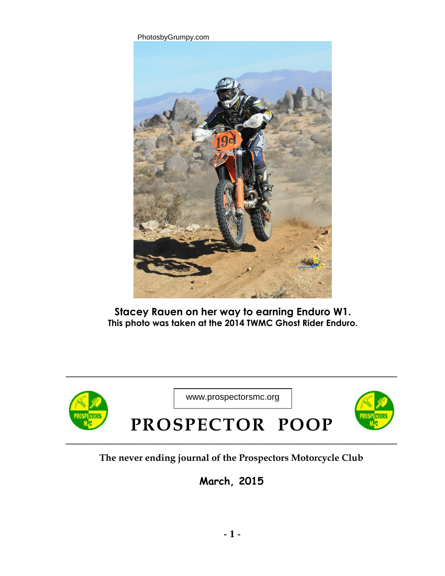

**Stacey Rauen on her way to earning Enduro W1. This photo was taken at the 2014 TWMC Ghost Rider Enduro.** 



**\_\_\_\_\_\_\_\_\_\_\_\_\_\_\_\_\_\_\_\_\_\_\_\_\_\_\_\_\_\_\_\_\_\_\_\_\_\_\_\_\_\_\_\_\_\_\_\_\_\_\_\_\_\_\_\_\_\_\_\_\_\_\_\_\_\_\_\_\_\_\_\_\_\_\_\_**

## **The never ending journal of the Prospectors Motorcycle Club**

**March, 2015**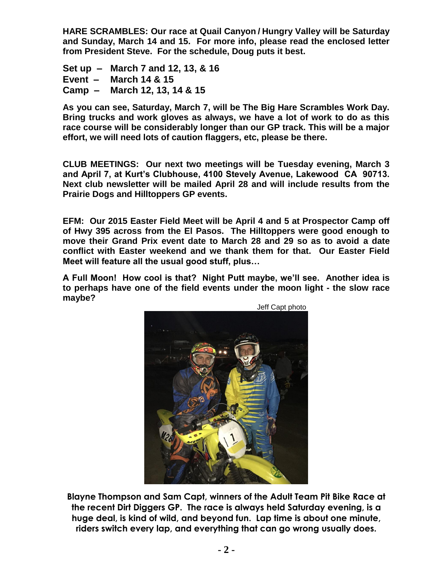**HARE SCRAMBLES: Our race at Quail Canyon / Hungry Valley will be Saturday and Sunday, March 14 and 15. For more info, please read the enclosed letter from President Steve. For the schedule, Doug puts it best.** 

**Set up – March 7 and 12, 13, & 16 Event – March 14 & 15 Camp – March 12, 13, 14 & 15**

**As you can see, Saturday, March 7, will be The Big Hare Scrambles Work Day. Bring trucks and work gloves as always, we have a lot of work to do as this race course will be considerably longer than our GP track. This will be a major effort, we will need lots of caution flaggers, etc, please be there.** 

**CLUB MEETINGS: Our next two meetings will be Tuesday evening, March 3 and April 7, at Kurt's Clubhouse, 4100 Stevely Avenue, Lakewood CA 90713. Next club newsletter will be mailed April 28 and will include results from the Prairie Dogs and Hilltoppers GP events.** 

**EFM: Our 2015 Easter Field Meet will be April 4 and 5 at Prospector Camp off of Hwy 395 across from the El Pasos. The Hilltoppers were good enough to move their Grand Prix event date to March 28 and 29 so as to avoid a date conflict with Easter weekend and we thank them for that. Our Easter Field Meet will feature all the usual good stuff, plus…** 

**A Full Moon! How cool is that? Night Putt maybe, we'll see. Another idea is to perhaps have one of the field events under the moon light - the slow race maybe?** 



**Blayne Thompson and Sam Capt, winners of the Adult Team Pit Bike Race at the recent Dirt Diggers GP. The race is always held Saturday evening, is a huge deal, is kind of wild, and beyond fun. Lap time is about one minute, riders switch every lap, and everything that can go wrong usually does.**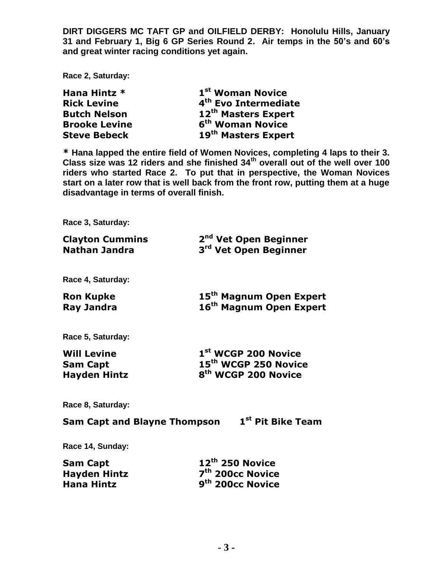**DIRT DIGGERS MC TAFT GP and OILFIELD DERBY: Honolulu Hills, January 31 and February 1, Big 6 GP Series Round 2. Air temps in the 50's and 60's and great winter racing conditions yet again.** 

**Race 2, Saturday:** 

| Hana Hintz *         | 1 <sup>st</sup> Woman Novice     |
|----------------------|----------------------------------|
| <b>Rick Levine</b>   | 4 <sup>th</sup> Evo Intermediate |
| <b>Butch Nelson</b>  | 12 <sup>th</sup> Masters Expert  |
| <b>Brooke Levine</b> | 6 <sup>th</sup> Woman Novice     |
| <b>Steve Bebeck</b>  | 19 <sup>th</sup> Masters Expert  |

**\* Hana lapped the entire field of Women Novices, completing 4 laps to their 3. Class size was 12 riders and she finished 34th overall out of the well over 100 riders who started Race 2. To put that in perspective, the Woman Novices start on a later row that is well back from the front row, putting them at a huge disadvantage in terms of overall finish.** 

**Race 3, Saturday:** 

| <b>Clayton Cummins</b><br><b>Nathan Jandra</b> | 2 <sup>nd</sup> Vet Open Beginner<br>3 <sup>rd</sup> Vet Open Beginner     |
|------------------------------------------------|----------------------------------------------------------------------------|
| Race 4, Saturday:                              |                                                                            |
| <b>Ron Kupke</b><br><b>Ray Jandra</b>          | 15 <sup>th</sup> Magnum Open Expert<br>16 <sup>th</sup> Magnum Open Expert |
| Race 5, Saturday:                              |                                                                            |
| <b>Will Levine</b>                             | 1 <sup>st</sup> WCGP 200 Novice                                            |
| <b>Sam Capt</b>                                | 15 <sup>th</sup> WCGP 250 Novice                                           |
| <b>Hayden Hintz</b>                            | 8 <sup>th</sup> WCGP 200 Novice                                            |
| Race 8, Saturday:                              |                                                                            |
| <b>Sam Capt and Blayne Thompson</b>            | 1 <sup>st</sup> Pit Bike Team                                              |
| Race 14, Sunday:                               |                                                                            |
|                                                | $\rightarrow$ ath appendix                                                 |

| Sam Capt     | $12^{\text{th}}$ 250 Novice  |
|--------------|------------------------------|
| Hayden Hintz | 7 <sup>th</sup> 200cc Novice |
| Hana Hintz   | 9 <sup>th</sup> 200cc Novice |